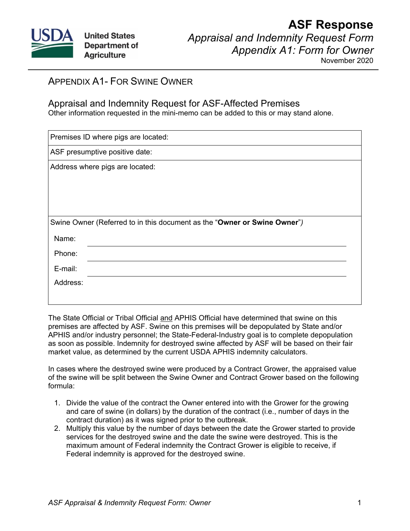

## **ASF Response** *Appraisal and Indemnity Request Form Appendix A1: Form for Owner*

November 2020

## APPENDIX A1- FOR SWINE OWNER

## Appraisal and Indemnity Request for ASF-Affected Premises

Other information requested in the mini-memo can be added to this or may stand alone.

|                                 | Premises ID where pigs are located:                                      |
|---------------------------------|--------------------------------------------------------------------------|
|                                 | ASF presumptive positive date:                                           |
| Address where pigs are located: |                                                                          |
|                                 |                                                                          |
|                                 |                                                                          |
|                                 |                                                                          |
|                                 | Swine Owner (Referred to in this document as the "Owner or Swine Owner") |
| Name:                           |                                                                          |
| Phone:                          |                                                                          |
| E-mail:                         |                                                                          |
| Address:                        |                                                                          |
|                                 |                                                                          |

The State Official or Tribal Official and APHIS Official have determined that swine on this premises are affected by ASF. Swine on this premises will be depopulated by State and/or APHIS and/or industry personnel; the State-Federal-Industry goal is to complete depopulation as soon as possible. Indemnity for destroyed swine affected by ASF will be based on their fair market value, as determined by the current USDA APHIS indemnity calculators.

In cases where the destroyed swine were produced by a Contract Grower, the appraised value of the swine will be split between the Swine Owner and Contract Grower based on the following formula:

- 1. Divide the value of the contract the Owner entered into with the Grower for the growing and care of swine (in dollars) by the duration of the contract (i.e., number of days in the contract duration) as it was signed prior to the outbreak.
- 2. Multiply this value by the number of days between the date the Grower started to provide services for the destroyed swine and the date the swine were destroyed. This is the maximum amount of Federal indemnity the Contract Grower is eligible to receive, if Federal indemnity is approved for the destroyed swine.